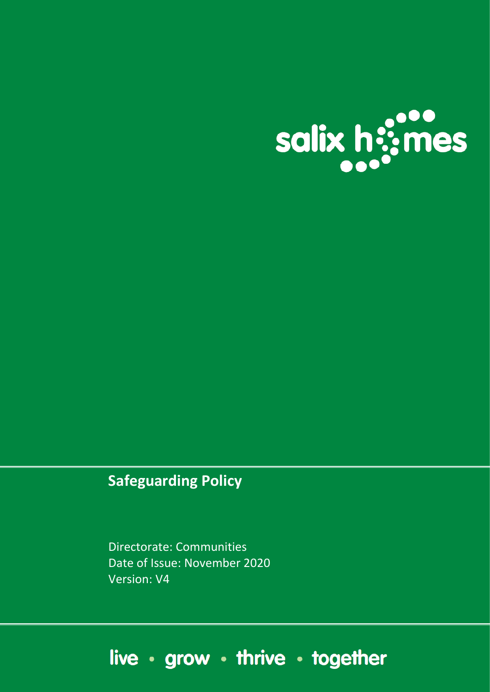

## **Safeguarding Policy**

Directorate: Communities Date of Issue: November 2020 Version: V4

# live · grow · thrive · together

Document name : Safeguarding Original Issue Date: September 2017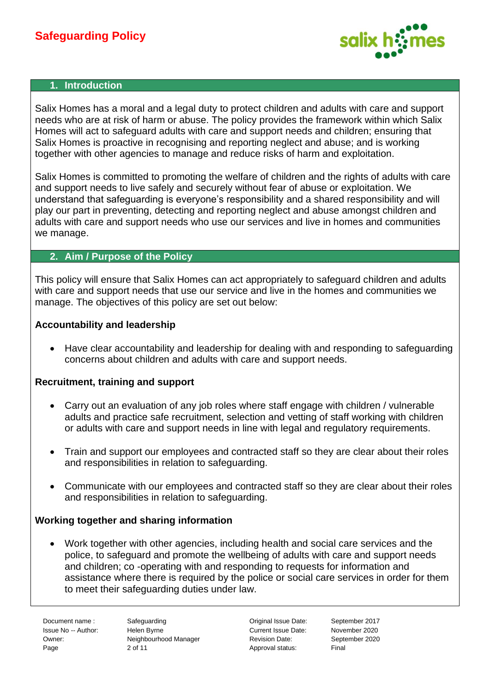

#### **1. Introduction**

Salix Homes has a moral and a legal duty to protect children and adults with care and support needs who are at risk of harm or abuse. The policy provides the framework within which Salix Homes will act to safeguard adults with care and support needs and children; ensuring that Salix Homes is proactive in recognising and reporting neglect and abuse; and is working together with other agencies to manage and reduce risks of harm and exploitation.

Salix Homes is committed to promoting the welfare of children and the rights of adults with care and support needs to live safely and securely without fear of abuse or exploitation. We understand that safeguarding is everyone's responsibility and a shared responsibility and will play our part in preventing, detecting and reporting neglect and abuse amongst children and adults with care and support needs who use our services and live in homes and communities we manage.

#### **2. Aim / Purpose of the Policy**

This policy will ensure that Salix Homes can act appropriately to safeguard children and adults with care and support needs that use our service and live in the homes and communities we manage. The objectives of this policy are set out below:

#### **Accountability and leadership**

• Have clear accountability and leadership for dealing with and responding to safeguarding concerns about children and adults with care and support needs.

#### **Recruitment, training and support**

- Carry out an evaluation of any job roles where staff engage with children / vulnerable adults and practice safe recruitment, selection and vetting of staff working with children or adults with care and support needs in line with legal and regulatory requirements.
- Train and support our employees and contracted staff so they are clear about their roles and responsibilities in relation to safeguarding.
- Communicate with our employees and contracted staff so they are clear about their roles and responsibilities in relation to safeguarding.

#### **Working together and sharing information**

• Work together with other agencies, including health and social care services and the police, to safeguard and promote the wellbeing of adults with care and support needs and children; co -operating with and responding to requests for information and assistance where there is required by the police or social care services in order for them to meet their safeguarding duties under law.

Document name : Safeguarding Original Issue Date: September 2017 Issue No -- Author: Helen Byrne Current Issue Date: November 2020 Owner: Neighbourhood Manager Revision Date: September 2020 Page 2 of 11 Approval status: Final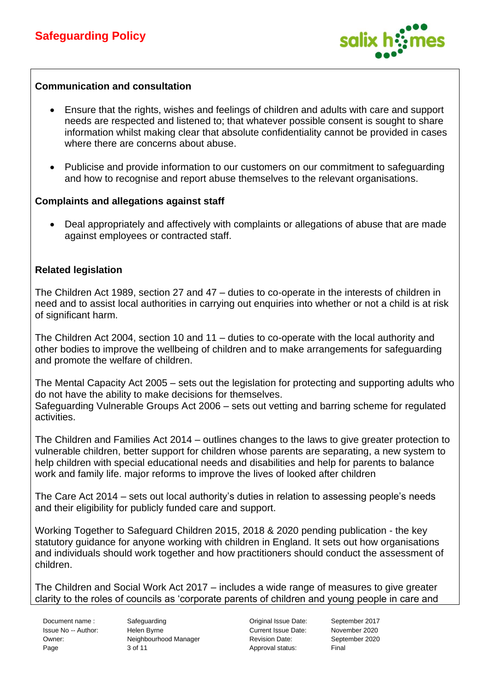

#### **Communication and consultation**

- Ensure that the rights, wishes and feelings of children and adults with care and support needs are respected and listened to; that whatever possible consent is sought to share information whilst making clear that absolute confidentiality cannot be provided in cases where there are concerns about abuse.
- Publicise and provide information to our customers on our commitment to safeguarding and how to recognise and report abuse themselves to the relevant organisations.

#### **Complaints and allegations against staff**

• Deal appropriately and affectively with complaints or allegations of abuse that are made against employees or contracted staff.

#### **Related legislation**

The Children Act 1989, section 27 and 47 – duties to co-operate in the interests of children in need and to assist local authorities in carrying out enquiries into whether or not a child is at risk of significant harm.

The Children Act 2004, section 10 and 11 – duties to co-operate with the local authority and other bodies to improve the wellbeing of children and to make arrangements for safeguarding and promote the welfare of children.

The Mental Capacity Act 2005 – sets out the legislation for protecting and supporting adults who do not have the ability to make decisions for themselves. Safeguarding Vulnerable Groups Act 2006 – sets out vetting and barring scheme for regulated activities.

The Children and Families Act 2014 – outlines changes to the laws to give greater protection to vulnerable children, better support for children whose parents are separating, a new system to help children with special educational needs and disabilities and help for parents to balance work and family life. major reforms to improve the lives of looked after children

The Care Act 2014 – sets out local authority's duties in relation to assessing people's needs and their eligibility for publicly funded care and support.

Working Together to Safeguard Children 2015, 2018 & 2020 pending publication - the key statutory guidance for anyone working with children in England. It sets out how organisations and individuals should work together and how practitioners should conduct the assessment of children.

The Children and Social Work Act 2017 – includes a wide range of measures to give greater clarity to the roles of councils as 'corporate parents of children and young people in care and

Document name : Safeguarding Original Issue Date: September 2017 Issue No -- Author: Helen Byrne Current Issue Date: November 2020 Owner: Neighbourhood Manager Revision Date: September 2020 Page 3 of 11 Approval status: Final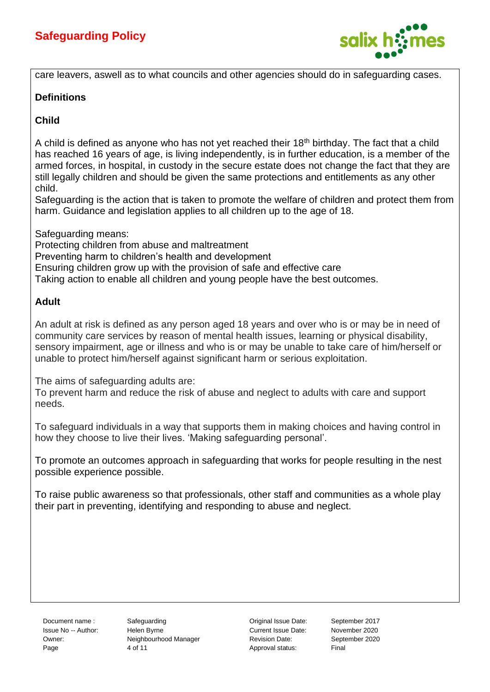

care leavers, aswell as to what councils and other agencies should do in safeguarding cases.

#### **Definitions**

#### **Child**

A child is defined as anyone who has not yet reached their 18<sup>th</sup> birthday. The fact that a child has reached 16 years of age, is living independently, is in further education, is a member of the armed forces, in hospital, in custody in the secure estate does not change the fact that they are still legally children and should be given the same protections and entitlements as any other child.

Safeguarding is the action that is taken to promote the welfare of children and protect them from harm. Guidance and legislation applies to all children up to the age of 18.

Safeguarding means:

Protecting children from abuse and maltreatment Preventing harm to children's health and development Ensuring children grow up with the provision of safe and effective care Taking action to enable all children and young people have the best outcomes.

#### **Adult**

An adult at risk is defined as any person aged 18 years and over who is or may be in need of community care services by reason of mental health issues, learning or physical disability, sensory impairment, age or illness and who is or may be unable to take care of him/herself or unable to protect him/herself against significant harm or serious exploitation.

The aims of safeguarding adults are:

To prevent harm and reduce the risk of abuse and neglect to adults with care and support needs.

To safeguard individuals in a way that supports them in making choices and having control in how they choose to live their lives. 'Making safeguarding personal'.

To promote an outcomes approach in safeguarding that works for people resulting in the nest possible experience possible.

To raise public awareness so that professionals, other staff and communities as a whole play their part in preventing, identifying and responding to abuse and neglect.

Document name : Safeguarding Contact Contact Contact Contact Contact September 2017 Issue No -- Author: Helen Byrne Current Issue Date: November 2020 Owner: Neighbourhood Manager Revision Date: September 2020 Page 2012 4 of 11 Approval status: Final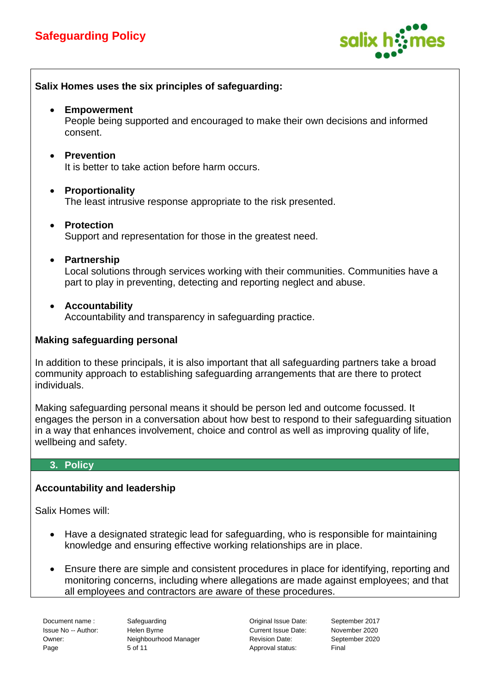

**Salix Homes uses the six principles of safeguarding:**  • **Empowerment**  People being supported and encouraged to make their own decisions and informed consent. • **Prevention** It is better to take action before harm occurs. • **Proportionality** The least intrusive response appropriate to the risk presented. • **Protection** Support and representation for those in the greatest need. • **Partnership** Local solutions through services working with their communities. Communities have a part to play in preventing, detecting and reporting neglect and abuse. • **Accountability** Accountability and transparency in safeguarding practice. **Making safeguarding personal** In addition to these principals, it is also important that all safeguarding partners take a broad community approach to establishing safeguarding arrangements that are there to protect individuals. Making safeguarding personal means it should be person led and outcome focussed. It engages the person in a conversation about how best to respond to their safeguarding situation in a way that enhances involvement, choice and control as well as improving quality of life, wellbeing and safety. **3. Policy Accountability and leadership**

Salix Homes will:

- Have a designated strategic lead for safeguarding, who is responsible for maintaining knowledge and ensuring effective working relationships are in place.
- Ensure there are simple and consistent procedures in place for identifying, reporting and monitoring concerns, including where allegations are made against employees; and that all employees and contractors are aware of these procedures.

Document name : Safeguarding Original Issue Date: September 2017 Issue No -- Author: Helen Byrne Current Issue Date: November 2020 Owner: Neighbourhood Manager Revision Date: September 2020 Page 5 of 11 **Approval status:** Final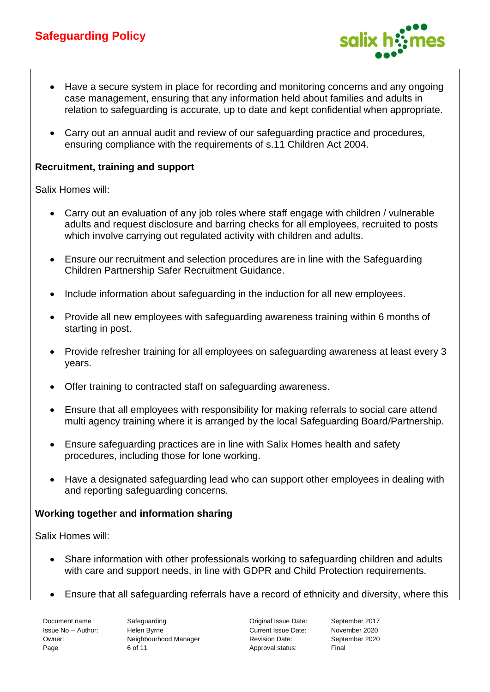

- Have a secure system in place for recording and monitoring concerns and any ongoing case management, ensuring that any information held about families and adults in relation to safeguarding is accurate, up to date and kept confidential when appropriate.
- Carry out an annual audit and review of our safeguarding practice and procedures, ensuring compliance with the requirements of s.11 Children Act 2004.

#### **Recruitment, training and support**

Salix Homes will:

- Carry out an evaluation of any job roles where staff engage with children / vulnerable adults and request disclosure and barring checks for all employees, recruited to posts which involve carrying out regulated activity with children and adults.
- Ensure our recruitment and selection procedures are in line with the Safeguarding Children Partnership Safer Recruitment Guidance.
- Include information about safeguarding in the induction for all new employees.
- Provide all new employees with safeguarding awareness training within 6 months of starting in post.
- Provide refresher training for all employees on safeguarding awareness at least every 3 years.
- Offer training to contracted staff on safeguarding awareness.
- Ensure that all employees with responsibility for making referrals to social care attend multi agency training where it is arranged by the local Safeguarding Board/Partnership.
- Ensure safeguarding practices are in line with Salix Homes health and safety procedures, including those for lone working.
- Have a designated safeguarding lead who can support other employees in dealing with and reporting safeguarding concerns.

#### **Working together and information sharing**

Salix Homes will:

- Share information with other professionals working to safeguarding children and adults with care and support needs, in line with GDPR and Child Protection requirements.
- Ensure that all safeguarding referrals have a record of ethnicity and diversity, where this

Document name : Safeguarding Original Issue Date: September 2017 Issue No -- Author: Helen Byrne Current Issue Date: November 2020 Owner: Neighbourhood Manager Revision Date: September 2020 Page 6 of 11 **Approval status:** Final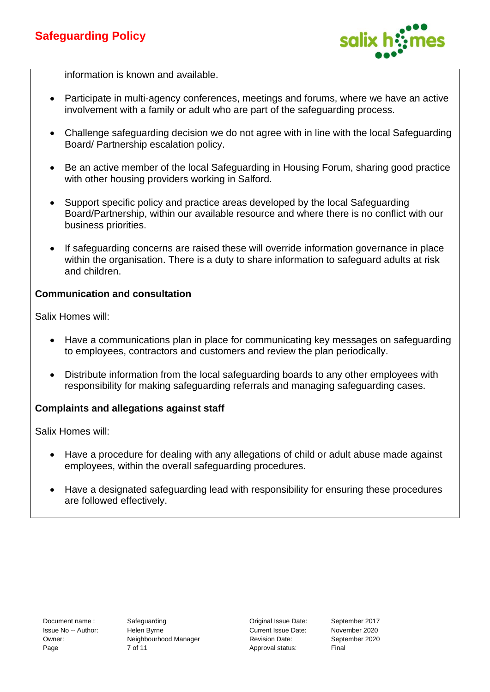

information is known and available.

- Participate in multi-agency conferences, meetings and forums, where we have an active involvement with a family or adult who are part of the safeguarding process.
- Challenge safeguarding decision we do not agree with in line with the local Safeguarding Board/ Partnership escalation policy.
- Be an active member of the local Safeguarding in Housing Forum, sharing good practice with other housing providers working in Salford.
- Support specific policy and practice areas developed by the local Safeguarding Board/Partnership, within our available resource and where there is no conflict with our business priorities.
- If safeguarding concerns are raised these will override information governance in place within the organisation. There is a duty to share information to safeguard adults at risk and children.

#### **Communication and consultation**

Salix Homes will:

- Have a communications plan in place for communicating key messages on safeguarding to employees, contractors and customers and review the plan periodically.
- Distribute information from the local safeguarding boards to any other employees with responsibility for making safeguarding referrals and managing safeguarding cases.

#### **Complaints and allegations against staff**

Salix Homes will:

- Have a procedure for dealing with any allegations of child or adult abuse made against employees, within the overall safeguarding procedures.
- Have a designated safeguarding lead with responsibility for ensuring these procedures are followed effectively.

Document name : Safeguarding Original Issue Date: September 2017 Issue No -- Author: Helen Byrne Current Issue Date: November 2020 Owner: Neighbourhood Manager Revision Date: September 2020 Page 7 of 11 Approval status: Final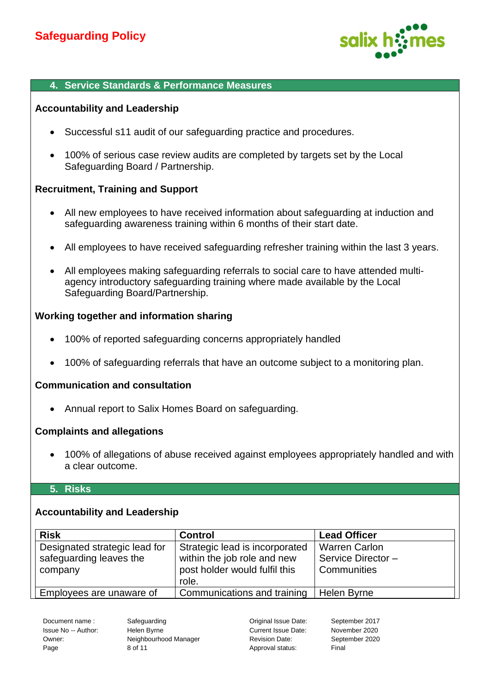

#### **4. Service Standards & Performance Measures**

#### **Accountability and Leadership**

- Successful s11 audit of our safeguarding practice and procedures.
- 100% of serious case review audits are completed by targets set by the Local Safeguarding Board / Partnership.

#### **Recruitment, Training and Support**

- All new employees to have received information about safeguarding at induction and safeguarding awareness training within 6 months of their start date.
- All employees to have received safeguarding refresher training within the last 3 years.
- All employees making safeguarding referrals to social care to have attended multiagency introductory safeguarding training where made available by the Local Safeguarding Board/Partnership.

#### **Working together and information sharing**

- 100% of reported safeguarding concerns appropriately handled
- 100% of safeguarding referrals that have an outcome subject to a monitoring plan.

#### **Communication and consultation**

• Annual report to Salix Homes Board on safeguarding.

#### **Complaints and allegations**

• 100% of allegations of abuse received against employees appropriately handled and with a clear outcome.

#### **5. Risks**

#### **Accountability and Leadership**

| <b>Risk</b>                                                         | <b>Control</b>                                                                                          | <b>Lead Officer</b>                                       |
|---------------------------------------------------------------------|---------------------------------------------------------------------------------------------------------|-----------------------------------------------------------|
| Designated strategic lead for<br>safeguarding leaves the<br>company | Strategic lead is incorporated<br>within the job role and new<br>post holder would fulfil this<br>role. | <b>Warren Carlon</b><br>Service Director -<br>Communities |
| Employees are unaware of                                            | Communications and training                                                                             | Helen Byrne                                               |

Issue No -- Author: Helen Byrne Current Issue Date: November 2020 Owner: Neighbourhood Manager Revision Date: September 2020 Page 8 of 11 Beauty 1, 2008 and the Page 8 of 11 Approval status: Final

Document name : Safeguarding Original Issue Date: September 2017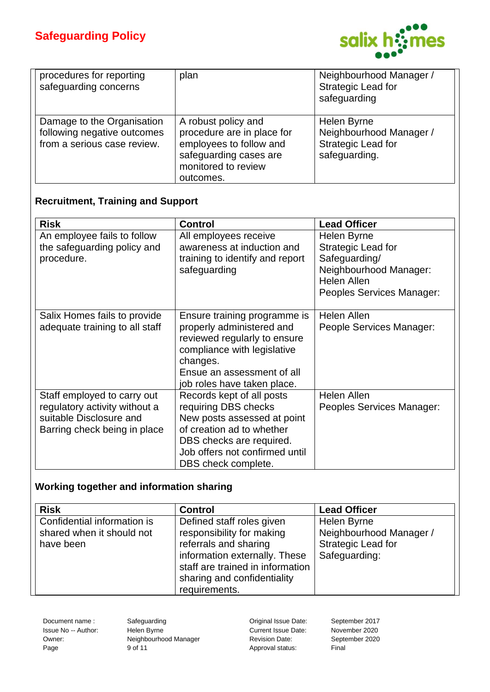

| procedures for reporting<br>safeguarding concerns                                        | plan                                                                                                                                       | Neighbourhood Manager /<br>Strategic Lead for<br>safeguarding                 |
|------------------------------------------------------------------------------------------|--------------------------------------------------------------------------------------------------------------------------------------------|-------------------------------------------------------------------------------|
| Damage to the Organisation<br>following negative outcomes<br>from a serious case review. | A robust policy and<br>procedure are in place for<br>employees to follow and<br>safeguarding cases are<br>monitored to review<br>outcomes. | Helen Byrne<br>Neighbourhood Manager /<br>Strategic Lead for<br>safeguarding. |

#### **Recruitment, Training and Support**

| <b>Risk</b>                                                                                                             | <b>Control</b>                                                                                                                                                                                     | <b>Lead Officer</b>                                                                                                             |
|-------------------------------------------------------------------------------------------------------------------------|----------------------------------------------------------------------------------------------------------------------------------------------------------------------------------------------------|---------------------------------------------------------------------------------------------------------------------------------|
| An employee fails to follow<br>the safeguarding policy and<br>procedure.                                                | All employees receive<br>awareness at induction and<br>training to identify and report<br>safeguarding                                                                                             | Helen Byrne<br>Strategic Lead for<br>Safeguarding/<br>Neighbourhood Manager:<br><b>Helen Allen</b><br>Peoples Services Manager: |
| Salix Homes fails to provide<br>adequate training to all staff                                                          | Ensure training programme is<br>properly administered and<br>reviewed regularly to ensure<br>compliance with legislative<br>changes.<br>Ensue an assessment of all<br>job roles have taken place.  | Helen Allen<br>People Services Manager:                                                                                         |
| Staff employed to carry out<br>regulatory activity without a<br>suitable Disclosure and<br>Barring check being in place | Records kept of all posts<br>requiring DBS checks<br>New posts assessed at point<br>of creation ad to whether<br>DBS checks are required.<br>Job offers not confirmed until<br>DBS check complete. | <b>Helen Allen</b><br>Peoples Services Manager:                                                                                 |

### **Working together and information sharing**

| <b>Risk</b>                                                           | <b>Control</b>                                                                                                                                                                                       | <b>Lead Officer</b>                                                           |
|-----------------------------------------------------------------------|------------------------------------------------------------------------------------------------------------------------------------------------------------------------------------------------------|-------------------------------------------------------------------------------|
| Confidential information is<br>shared when it should not<br>have been | Defined staff roles given<br>responsibility for making<br>referrals and sharing<br>information externally. These<br>staff are trained in information<br>sharing and confidentiality<br>requirements. | Helen Byrne<br>Neighbourhood Manager /<br>Strategic Lead for<br>Safeguarding: |

Document name : Safeguarding Contract Controller September 2017

Issue No -- Author: Helen Byrne Current Issue Date: November 2020 Owner: Neighbourhood Manager Revision Date: September 2020 Page 9 of 11 9 Page 9 of 11 and 20 Page 9 of 11 and 20 Page 8 Approval status: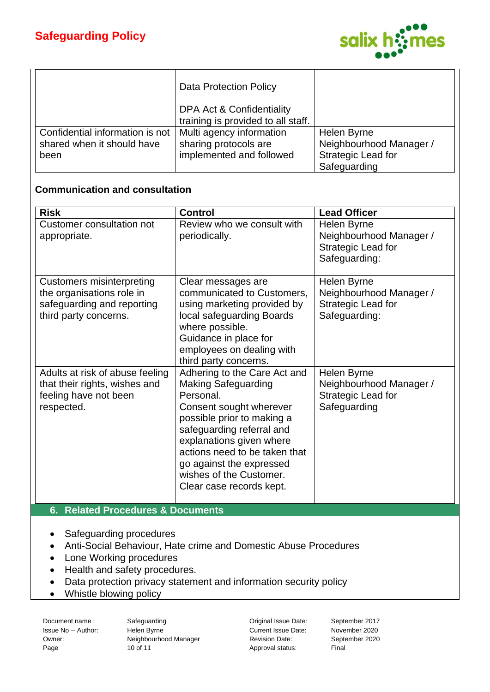

|                                 | <b>Data Protection Policy</b>                                   |                         |
|---------------------------------|-----------------------------------------------------------------|-------------------------|
|                                 | DPA Act & Confidentiality<br>training is provided to all staff. |                         |
| Confidential information is not | Multi agency information                                        | Helen Byrne             |
| shared when it should have      | sharing protocols are                                           | Neighbourhood Manager / |
| been                            | implemented and followed                                        | Strategic Lead for      |
|                                 |                                                                 | Safeguarding            |

#### **Communication and consultation**

| <b>Risk</b>                                                                                                          | <b>Control</b>                                                                                                                                                                                                                                                                                                | <b>Lead Officer</b>                                                           |
|----------------------------------------------------------------------------------------------------------------------|---------------------------------------------------------------------------------------------------------------------------------------------------------------------------------------------------------------------------------------------------------------------------------------------------------------|-------------------------------------------------------------------------------|
| <b>Customer consultation not</b><br>appropriate.                                                                     | Review who we consult with<br>periodically.                                                                                                                                                                                                                                                                   | Helen Byrne<br>Neighbourhood Manager /<br>Strategic Lead for<br>Safeguarding: |
| <b>Customers misinterpreting</b><br>the organisations role in<br>safeguarding and reporting<br>third party concerns. | Clear messages are<br>communicated to Customers,<br>using marketing provided by<br>local safeguarding Boards<br>where possible.<br>Guidance in place for<br>employees on dealing with<br>third party concerns.                                                                                                | Helen Byrne<br>Neighbourhood Manager /<br>Strategic Lead for<br>Safeguarding: |
| Adults at risk of abuse feeling<br>that their rights, wishes and<br>feeling have not been<br>respected.              | Adhering to the Care Act and<br><b>Making Safeguarding</b><br>Personal.<br>Consent sought wherever<br>possible prior to making a<br>safeguarding referral and<br>explanations given where<br>actions need to be taken that<br>go against the expressed<br>wishes of the Customer.<br>Clear case records kept. | Helen Byrne<br>Neighbourhood Manager /<br>Strategic Lead for<br>Safeguarding  |
|                                                                                                                      |                                                                                                                                                                                                                                                                                                               |                                                                               |
| <b>Related Procedures &amp; Documents</b><br>6.                                                                      |                                                                                                                                                                                                                                                                                                               |                                                                               |

- Safeguarding procedures
- Anti-Social Behaviour, Hate crime and Domestic Abuse Procedures
- Lone Working procedures
- Health and safety procedures.
- Data protection privacy statement and information security policy
- Whistle blowing policy

Document name : Safeguarding Contact Regional Issue Date: September 2017

Issue No -- Author: Helen Byrne Current Issue Date: November 2020 Owner: Neighbourhood Manager Revision Date: September 2020 Page 10 of 11 Approval status: Final